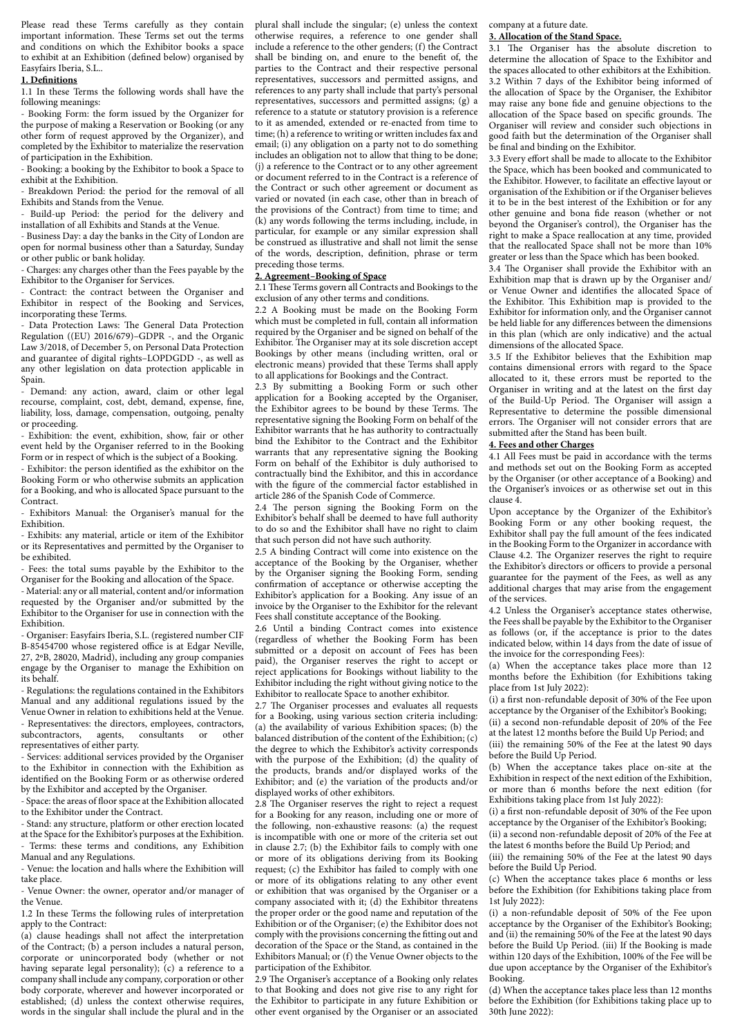Please read these Terms carefully as they contain important information. These Terms set out the terms and conditions on which the Exhibitor books a space to exhibit at an Exhibition (defined below) organised by Easyfairs Iberia, S.L..

# **1. Definitions**

1.1 In these Terms the following words shall have the following meanings:

- Booking Form: the form issued by the Organizer for the purpose of making a Reservation or Booking (or any other form of request approved by the Organizer), and completed by the Exhibitor to materialize the reservation of participation in the Exhibition.

- Booking: a booking by the Exhibitor to book a Space to exhibit at the Exhibition.

- Breakdown Period: the period for the removal of all Exhibits and Stands from the Venue.

Build-up Period: the period for the delivery and installation of all Exhibits and Stands at the Venue.

- Business Day: a day the banks in the City of London are open for normal business other than a Saturday, Sunday or other public or bank holiday.

- Charges: any charges other than the Fees payable by the Exhibitor to the Organiser for Services.

Contract: the contract between the Organiser and Exhibitor in respect of the Booking and Services, incorporating these Terms.

Data Protection Laws: The General Data Protection Regulation ((EU) 2016/679)–GDPR -, and the Organic Law 3/2018, of December 5, on Personal Data Protection and guarantee of digital rights–LOPDGDD -, as well as any other legislation on data protection applicable in Spain.

- Demand: any action, award, claim or other legal recourse, complaint, cost, debt, demand, expense, fine, liability, loss, damage, compensation, outgoing, penalty or proceeding.

- Exhibition: the event, exhibition, show, fair or other event held by the Organiser referred to in the Booking Form or in respect of which is the subject of a Booking.

- Exhibitor: the person identified as the exhibitor on the Booking Form or who otherwise submits an application for a Booking, and who is allocated Space pursuant to the Contract.

Exhibitors Manual: the Organiser's manual for the Exhibition.

- Exhibits: any material, article or item of the Exhibitor or its Representatives and permitted by the Organiser to be exhibited.

- Fees: the total sums payable by the Exhibitor to the Organiser for the Booking and allocation of the Space.

- Material: any or all material, content and/or information requested by the Organiser and/or submitted by the Exhibitor to the Organiser for use in connection with the Exhibition.

- Organiser: Easyfairs Iberia, S.L. (registered number CIF B-85454700 whose registered office is at Edgar Neville, 27, 2ºB, 28020, Madrid), including any group companies engage by the Organiser to manage the Exhibition on its behalf.

- Regulations: the regulations contained in the Exhibitors Manual and any additional regulations issued by the Venue Owner in relation to exhibitions held at the Venue. - Representatives: the directors, employees, contractors,<br>subcontractors, agents, consultants or other

subcontractors, agents, consultants or representatives of either party.

- Services: additional services provided by the Organiser to the Exhibitor in connection with the Exhibition as identified on the Booking Form or as otherwise ordered by the Exhibitor and accepted by the Organiser.

- Space: the areas of floor space at the Exhibition allocated to the Exhibitor under the Contract.

- Stand: any structure, platform or other erection located at the Space for the Exhibitor's purposes at the Exhibition. Terms: these terms and conditions, any Exhibition Manual and any Regulations.

- Venue: the location and halls where the Exhibition will take place.

- Venue Owner: the owner, operator and/or manager of the Venue.

1.2 In these Terms the following rules of interpretation apply to the Contract:

(a) clause headings shall not affect the interpretation of the Contract; (b) a person includes a natural person, corporate or unincorporated body (whether or not having separate legal personality); (c) a reference to a company shall include any company, corporation or other body corporate, wherever and however incorporated or established; (d) unless the context otherwise requires, words in the singular shall include the plural and in the

plural shall include the singular; (e) unless the context otherwise requires, a reference to one gender shall include a reference to the other genders; (f) the Contract shall be binding on, and enure to the benefit of, the parties to the Contract and their respective personal representatives, successors and permitted assigns, and references to any party shall include that party's personal representatives, successors and permitted assigns; (g) a reference to a statute or statutory provision is a reference to it as amended, extended or re-enacted from time to time; (h) a reference to writing or written includes fax and email; (i) any obligation on a party not to do something includes an obligation not to allow that thing to be done; (j) a reference to the Contract or to any other agreement or document referred to in the Contract is a reference of the Contract or such other agreement or document as varied or novated (in each case, other than in breach of the provisions of the Contract) from time to time; and (k) any words following the terms including, include, in particular, for example or any similar expression shall be construed as illustrative and shall not limit the sense of the words, description, definition, phrase or term preceding those terms.

# **2. Agreement–Booking of Space**

2.1 These Terms govern all Contracts and Bookings to the exclusion of any other terms and conditions.

2.2 A Booking must be made on the Booking Form which must be completed in full, contain all information required by the Organiser and be signed on behalf of the Exhibitor. The Organiser may at its sole discretion accept Bookings by other means (including written, oral or electronic means) provided that these Terms shall apply to all applications for Bookings and the Contract.

2.3 By submitting a Booking Form or such other application for a Booking accepted by the Organiser, the Exhibitor agrees to be bound by these Terms. The representative signing the Booking Form on behalf of the Exhibitor warrants that he has authority to contractually bind the Exhibitor to the Contract and the Exhibitor warrants that any representative signing the Booking Form on behalf of the Exhibitor is duly authorised to contractually bind the Exhibitor, and this in accordance with the figure of the commercial factor established in article 286 of the Spanish Code of Commerce.

2.4 The person signing the Booking Form on the Exhibitor's behalf shall be deemed to have full authority to do so and the Exhibitor shall have no right to claim that such person did not have such authority.

2.5 A binding Contract will come into existence on the acceptance of the Booking by the Organiser, whether by the Organiser signing the Booking Form, sending confirmation of acceptance or otherwise accepting the Exhibitor's application for a Booking. Any issue of an invoice by the Organiser to the Exhibitor for the relevant Fees shall constitute acceptance of the Booking.

2.6 Until a binding Contract comes into existence (regardless of whether the Booking Form has been submitted or a deposit on account of Fees has been paid), the Organiser reserves the right to accept or reject applications for Bookings without liability to the Exhibitor including the right without giving notice to the Exhibitor to reallocate Space to another exhibitor.

2.7 The Organiser processes and evaluates all requests for a Booking, using various section criteria including: (a) the availability of various Exhibition spaces; (b) the balanced distribution of the content of the Exhibition; (c) the degree to which the Exhibitor's activity corresponds with the purpose of the Exhibition; (d) the quality of the products, brands and/or displayed works of the Exhibitor; and (e) the variation of the products and/or displayed works of other exhibitors.

2.8 The Organiser reserves the right to reject a request for a Booking for any reason, including one or more of the following, non-exhaustive reasons: (a) the request is incompatible with one or more of the criteria set out in clause 2.7; (b) the Exhibitor fails to comply with one or more of its obligations deriving from its Booking request; (c) the Exhibitor has failed to comply with one or more of its obligations relating to any other event or exhibition that was organised by the Organiser or a company associated with it; (d) the Exhibitor threatens the proper order or the good name and reputation of the Exhibition or of the Organiser; (e) the Exhibitor does not comply with the provisions concerning the fitting out and decoration of the Space or the Stand, as contained in the Exhibitors Manual; or (f) the Venue Owner objects to the participation of the Exhibitor.

2.9 The Organiser's acceptance of a Booking only relates to that Booking and does not give rise to any right for the Exhibitor to participate in any future Exhibition or other event organised by the Organiser or an associated company at a future date.

**3. Allocation of the Stand Space.**

3.1 The Organiser has the absolute discretion to determine the allocation of Space to the Exhibitor and the spaces allocated to other exhibitors at the Exhibition. 3.2 Within 7 days of the Exhibitor being informed of the allocation of Space by the Organiser, the Exhibitor may raise any bone fide and genuine objections to the allocation of the Space based on specific grounds. The Organiser will review and consider such objections in good faith but the determination of the Organiser shall be final and binding on the Exhibitor.

3.3 Every effort shall be made to allocate to the Exhibitor the Space, which has been booked and communicated to the Exhibitor. However, to facilitate an effective layout or organisation of the Exhibition or if the Organiser believes it to be in the best interest of the Exhibition or for any other genuine and bona fide reason (whether or not beyond the Organiser's control), the Organiser has the right to make a Space reallocation at any time, provided that the reallocated Space shall not be more than 10% greater or less than the Space which has been booked.

3.4 The Organiser shall provide the Exhibitor with an Exhibition map that is drawn up by the Organiser and/ or Venue Owner and identifies the allocated Space of the Exhibitor. This Exhibition map is provided to the Exhibitor for information only, and the Organiser cannot be held liable for any differences between the dimensions in this plan (which are only indicative) and the actual dimensions of the allocated Space.

3.5 If the Exhibitor believes that the Exhibition map contains dimensional errors with regard to the Space allocated to it, these errors must be reported to the Organiser in writing and at the latest on the first day of the Build-Up Period. The Organiser will assign a Representative to determine the possible dimensional errors. The Organiser will not consider errors that are submitted after the Stand has been built.

# **4. Fees and other Charges**

4.1 All Fees must be paid in accordance with the terms and methods set out on the Booking Form as accepted by the Organiser (or other acceptance of a Booking) and the Organiser's invoices or as otherwise set out in this clause 4.

Upon acceptance by the Organizer of the Exhibitor's Booking Form or any other booking request, the Exhibitor shall pay the full amount of the fees indicated in the Booking Form to the Organizer in accordance with Clause 4.2. The Organizer reserves the right to require the Exhibitor's directors or officers to provide a personal guarantee for the payment of the Fees, as well as any additional charges that may arise from the engagement of the services.

4.2 Unless the Organiser's acceptance states otherwise, the Fees shall be payable by the Exhibitor to the Organiser as follows (or, if the acceptance is prior to the dates indicated below, within 14 days from the date of issue of the invoice for the corresponding Fees):

(a) When the acceptance takes place more than 12 months before the Exhibition (for Exhibitions taking place from 1st July 2022):

(i) a first non-refundable deposit of 30% of the Fee upon acceptance by the Organiser of the Exhibitor's Booking; (ii) a second non-refundable deposit of 20% of the Fee at the latest 12 months before the Build Up Period; and (iii) the remaining 50% of the Fee at the latest 90 days before the Build Up Period.

(b) When the acceptance takes place on-site at the Exhibition in respect of the next edition of the Exhibition, or more than 6 months before the next edition (for Exhibitions taking place from 1st July 2022):

(i) a first non-refundable deposit of 30% of the Fee upon acceptance by the Organiser of the Exhibitor's Booking; (ii) a second non-refundable deposit of 20% of the Fee at

the latest 6 months before the Build Up Period; and

(iii) the remaining 50% of the Fee at the latest 90 days before the Build Up Period.

(c) When the acceptance takes place 6 months or less before the Exhibition (for Exhibitions taking place from 1st July 2022):

(i) a non-refundable deposit of 50% of the Fee upon acceptance by the Organiser of the Exhibitor's Booking; and (ii) the remaining 50% of the Fee at the latest 90 days before the Build Up Period. (iii) If the Booking is made within 120 days of the Exhibition, 100% of the Fee will be due upon acceptance by the Organiser of the Exhibitor's Booking.

(d) When the acceptance takes place less than 12 months before the Exhibition (for Exhibitions taking place up to 30th June 2022):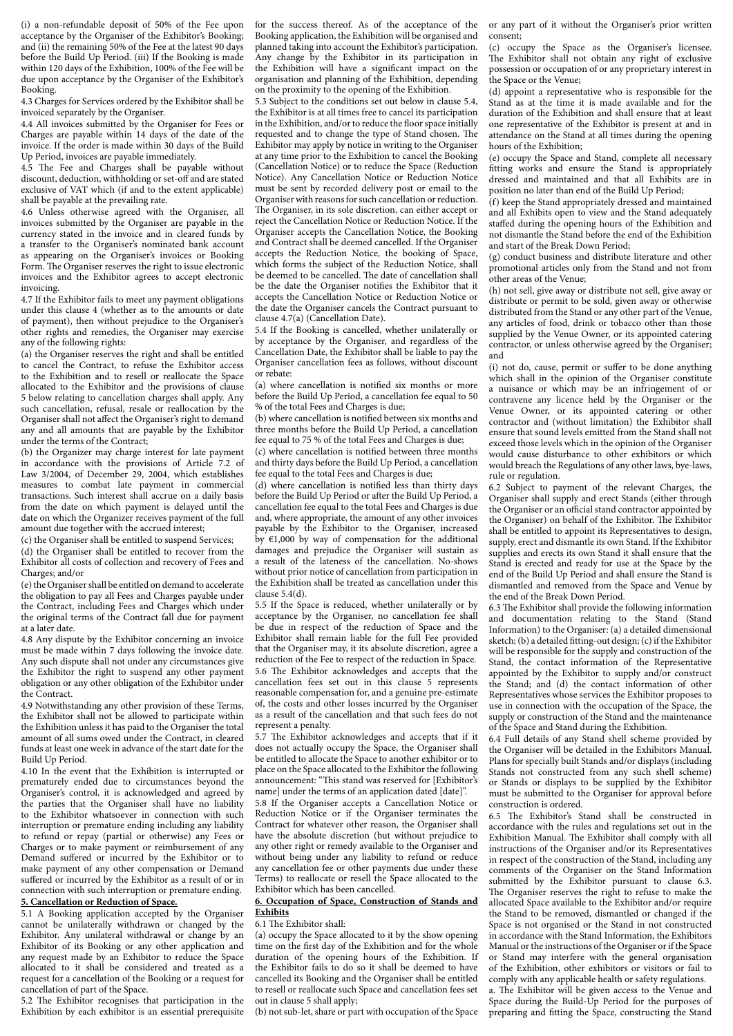(i) a non-refundable deposit of 50% of the Fee upon acceptance by the Organiser of the Exhibitor's Booking; and (ii) the remaining 50% of the Fee at the latest 90 days before the Build Up Period. (iii) If the Booking is made within 120 days of the Exhibition, 100% of the Fee will be due upon acceptance by the Organiser of the Exhibitor's Booking.

4.3 Charges for Services ordered by the Exhibitor shall be invoiced separately by the Organiser.

4.4 All invoices submitted by the Organiser for Fees or Charges are payable within 14 days of the date of the invoice. If the order is made within 30 days of the Build Up Period, invoices are payable immediately.

4.5 The Fee and Charges shall be payable without discount, deduction, withholding or set-off and are stated exclusive of VAT which (if and to the extent applicable) shall be payable at the prevailing rate.

4.6 Unless otherwise agreed with the Organiser, all invoices submitted by the Organiser are payable in the currency stated in the invoice and in cleared funds by a transfer to the Organiser's nominated bank account as appearing on the Organiser's invoices or Booking Form. The Organiser reserves the right to issue electronic invoices and the Exhibitor agrees to accept electronic invoicing.

4.7 If the Exhibitor fails to meet any payment obligations under this clause 4 (whether as to the amounts or date of payment), then without prejudice to the Organiser's other rights and remedies, the Organiser may exercise any of the following rights:

(a) the Organiser reserves the right and shall be entitled to cancel the Contract, to refuse the Exhibitor access to the Exhibition and to resell or reallocate the Space allocated to the Exhibitor and the provisions of clause 5 below relating to cancellation charges shall apply. Any such cancellation, refusal, resale or reallocation by the Organiser shall not affect the Organiser's right to demand any and all amounts that are payable by the Exhibitor under the terms of the Contract;

(b) the Organizer may charge interest for late payment in accordance with the provisions of Article 7.2 of Law 3/2004, of December 29, 2004, which establishes measures to combat late payment in commercial transactions. Such interest shall accrue on a daily basis from the date on which payment is delayed until the date on which the Organizer receives payment of the full amount due together with the accrued interest;

(c) the Organiser shall be entitled to suspend Services;

(d) the Organiser shall be entitled to recover from the Exhibitor all costs of collection and recovery of Fees and Charges; and/or

(e) the Organiser shall be entitled on demand to accelerate the obligation to pay all Fees and Charges payable under the Contract, including Fees and Charges which under the original terms of the Contract fall due for payment at a later date.

4.8 Any dispute by the Exhibitor concerning an invoice must be made within 7 days following the invoice date. Any such dispute shall not under any circumstances give the Exhibitor the right to suspend any other payment obligation or any other obligation of the Exhibitor under the Contract.

4.9 Notwithstanding any other provision of these Terms, the Exhibitor shall not be allowed to participate within the Exhibition unless it has paid to the Organiser the total amount of all sums owed under the Contract, in cleared funds at least one week in advance of the start date for the Build Up Period.

4.10 In the event that the Exhibition is interrupted or prematurely ended due to circumstances beyond the Organiser's control, it is acknowledged and agreed by the parties that the Organiser shall have no liability to the Exhibitor whatsoever in connection with such interruption or premature ending including any liability to refund or repay (partial or otherwise) any Fees or Charges or to make payment or reimbursement of any Demand suffered or incurred by the Exhibitor or to make payment of any other compensation or Demand suffered or incurred by the Exhibitor as a result of or in connection with such interruption or premature ending.

# **5. Cancellation or Reduction of Space.**

5.1 A Booking application accepted by the Organiser cannot be unilaterally withdrawn or changed by the Exhibitor. Any unilateral withdrawal or change by an Exhibitor of its Booking or any other application and any request made by an Exhibitor to reduce the Space allocated to it shall be considered and treated as a request for a cancellation of the Booking or a request for cancellation of part of the Space.

5.2 The Exhibitor recognises that participation in the Exhibition by each exhibitor is an essential prerequisite for the success thereof. As of the acceptance of the Booking application, the Exhibition will be organised and planned taking into account the Exhibitor's participation. Any change by the Exhibitor in its participation in the Exhibition will have a significant impact on the organisation and planning of the Exhibition, depending on the proximity to the opening of the Exhibition.

5.3 Subject to the conditions set out below in clause 5.4, the Exhibitor is at all times free to cancel its participation in the Exhibition, and/or to reduce the floor space initially requested and to change the type of Stand chosen. The Exhibitor may apply by notice in writing to the Organiser at any time prior to the Exhibition to cancel the Booking (Cancellation Notice) or to reduce the Space (Reduction Notice). Any Cancellation Notice or Reduction Notice must be sent by recorded delivery post or email to the Organiser with reasons for such cancellation or reduction. The Organiser, in its sole discretion, can either accept or reject the Cancellation Notice or Reduction Notice. If the Organiser accepts the Cancellation Notice, the Booking and Contract shall be deemed cancelled. If the Organiser accepts the Reduction Notice, the booking of Space, which forms the subject of the Reduction Notice, shall be deemed to be cancelled. The date of cancellation shall be the date the Organiser notifies the Exhibitor that it accepts the Cancellation Notice or Reduction Notice or the date the Organiser cancels the Contract pursuant to clause 4.7(a) (Cancellation Date).

5.4 If the Booking is cancelled, whether unilaterally or by acceptance by the Organiser, and regardless of the Cancellation Date, the Exhibitor shall be liable to pay the Organiser cancellation fees as follows, without discount or rebate:

(a) where cancellation is notified six months or more before the Build Up Period, a cancellation fee equal to 50 % of the total Fees and Charges is due;

(b) where cancellation is notified between six months and three months before the Build Up Period, a cancellation fee equal to 75 % of the total Fees and Charges is due;

(c) where cancellation is notified between three months and thirty days before the Build Up Period, a cancellation fee equal to the total Fees and Charges is due;

(d) where cancellation is notified less than thirty days before the Build Up Period or after the Build Up Period, a cancellation fee equal to the total Fees and Charges is due and, where appropriate, the amount of any other invoices payable by the Exhibitor to the Organiser, increased by  $\epsilon$ 1,000 by way of compensation for the additional damages and prejudice the Organiser will sustain as a result of the lateness of the cancellation. No-shows without prior notice of cancellation from participation in the Exhibition shall be treated as cancellation under this clause 5.4(d).

5.5 If the Space is reduced, whether unilaterally or by acceptance by the Organiser, no cancellation fee shall be due in respect of the reduction of Space and the Exhibitor shall remain liable for the full Fee provided that the Organiser may, it its absolute discretion, agree a reduction of the Fee to respect of the reduction in Space. 5.6 The Exhibitor acknowledges and accepts that the cancellation fees set out in this clause 5 represents reasonable compensation for, and a genuine pre-estimate of, the costs and other losses incurred by the Organiser as a result of the cancellation and that such fees do not represent a penalty.

5.7 The Exhibitor acknowledges and accepts that if it does not actually occupy the Space, the Organiser shall be entitled to allocate the Space to another exhibitor or to place on the Space allocated to the Exhibitor the following announcement: "This stand was reserved for [Exhibitor's name] under the terms of an application dated [date]".

5.8 If the Organiser accepts a Cancellation Notice or Reduction Notice or if the Organiser terminates the Contract for whatever other reason, the Organiser shall have the absolute discretion (but without prejudice to any other right or remedy available to the Organiser and without being under any liability to refund or reduce any cancellation fee or other payments due under these Terms) to reallocate or resell the Space allocated to the Exhibitor which has been cancelled.

### **6. Occupation of Space, Construction of Stands and Exhibits**

#### 6.1 The Exhibitor shall:

(a) occupy the Space allocated to it by the show opening time on the first day of the Exhibition and for the whole duration of the opening hours of the Exhibition. If the Exhibitor fails to do so it shall be deemed to have cancelled its Booking and the Organiser shall be entitled to resell or reallocate such Space and cancellation fees set out in clause 5 shall apply;

(b) not sub-let, share or part with occupation of the Space

or any part of it without the Organiser's prior written consent;

(c) occupy the Space as the Organiser's licensee. The Exhibitor shall not obtain any right of exclusive possession or occupation of or any proprietary interest in the Space or the Venue;

(d) appoint a representative who is responsible for the Stand as at the time it is made available and for the duration of the Exhibition and shall ensure that at least one representative of the Exhibitor is present at and in attendance on the Stand at all times during the opening hours of the Exhibition;

(e) occupy the Space and Stand, complete all necessary fitting works and ensure the Stand is appropriately dressed and maintained and that all Exhibits are in position no later than end of the Build Up Period;

(f) keep the Stand appropriately dressed and maintained and all Exhibits open to view and the Stand adequately staffed during the opening hours of the Exhibition and not dismantle the Stand before the end of the Exhibition and start of the Break Down Period;

(g) conduct business and distribute literature and other promotional articles only from the Stand and not from other areas of the Venue;

(h) not sell, give away or distribute not sell, give away or distribute or permit to be sold, given away or otherwise distributed from the Stand or any other part of the Venue, any articles of food, drink or tobacco other than those supplied by the Venue Owner, or its appointed catering contractor, or unless otherwise agreed by the Organiser; and

(i) not do, cause, permit or suffer to be done anything which shall in the opinion of the Organiser constitute a nuisance or which may be an infringement of or contravene any licence held by the Organiser or the Venue Owner, or its appointed catering or other contractor and (without limitation) the Exhibitor shall ensure that sound levels emitted from the Stand shall not exceed those levels which in the opinion of the Organiser would cause disturbance to other exhibitors or which would breach the Regulations of any other laws, bye-laws, rule or regulation.

6.2 Subject to payment of the relevant Charges, the Organiser shall supply and erect Stands (either through the Organiser or an official stand contractor appointed by the Organiser) on behalf of the Exhibitor. The Exhibitor shall be entitled to appoint its Representatives to design, supply, erect and dismantle its own Stand. If the Exhibitor supplies and erects its own Stand it shall ensure that the Stand is erected and ready for use at the Space by the end of the Build Up Period and shall ensure the Stand is dismantled and removed from the Space and Venue by the end of the Break Down Period.

6.3 The Exhibitor shall provide the following information and documentation relating to the Stand (Stand Information) to the Organiser: (a) a detailed dimensional sketch; (b) a detailed fitting-out design; (c) if the Exhibitor will be responsible for the supply and construction of the Stand, the contact information of the Representative appointed by the Exhibitor to supply and/or construct the Stand; and (d) the contact information of other Representatives whose services the Exhibitor proposes to use in connection with the occupation of the Space, the supply or construction of the Stand and the maintenance of the Space and Stand during the Exhibition.

6.4 Full details of any Stand shell scheme provided by the Organiser will be detailed in the Exhibitors Manual. Plans for specially built Stands and/or displays (including Stands not constructed from any such shell scheme) or Stands or displays to be supplied by the Exhibitor must be submitted to the Organiser for approval before construction is ordered.

6.5 The Exhibitor's Stand shall be constructed in accordance with the rules and regulations set out in the Exhibition Manual. The Exhibitor shall comply with all instructions of the Organiser and/or its Representatives in respect of the construction of the Stand, including any comments of the Organiser on the Stand Information submitted by the Exhibitor pursuant to clause 6.3. The Organiser reserves the right to refuse to make the allocated Space available to the Exhibitor and/or require the Stand to be removed, dismantled or changed if the Space is not organised or the Stand in not constructed in accordance with the Stand Information, the Exhibitors Manual or the instructions of the Organiser or if the Space or Stand may interfere with the general organisation of the Exhibition, other exhibitors or visitors or fail to comply with any applicable health or safety regulations.

a. The Exhibitor will be given access to the Venue and Space during the Build-Up Period for the purposes of preparing and fitting the Space, constructing the Stand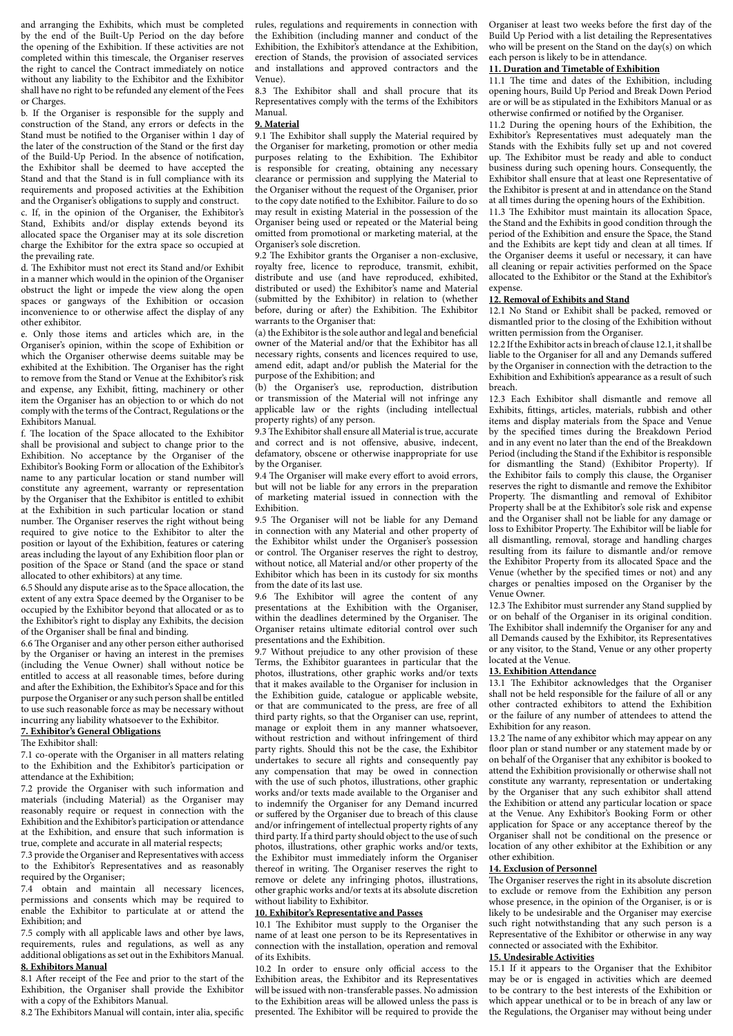and arranging the Exhibits, which must be completed by the end of the Built-Up Period on the day before the opening of the Exhibition. If these activities are not completed within this timescale, the Organiser reserves the right to cancel the Contract immediately on notice without any liability to the Exhibitor and the Exhibitor shall have no right to be refunded any element of the Fees or Charges.

b. If the Organiser is responsible for the supply and construction of the Stand, any errors or defects in the Stand must be notified to the Organiser within 1 day of the later of the construction of the Stand or the first day of the Build-Up Period. In the absence of notification, the Exhibitor shall be deemed to have accepted the Stand and that the Stand is in full compliance with its requirements and proposed activities at the Exhibition and the Organiser's obligations to supply and construct. c. If, in the opinion of the Organiser, the Exhibitor's Stand, Exhibits and/or display extends beyond its

allocated space the Organiser may at its sole discretion charge the Exhibitor for the extra space so occupied at the prevailing rate.

d. The Exhibitor must not erect its Stand and/or Exhibit in a manner which would in the opinion of the Organiser obstruct the light or impede the view along the open spaces or gangways of the Exhibition or occasion inconvenience to or otherwise affect the display of any other exhibitor.

e. Only those items and articles which are, in the Organiser's opinion, within the scope of Exhibition or which the Organiser otherwise deems suitable may be exhibited at the Exhibition. The Organiser has the right to remove from the Stand or Venue at the Exhibitor's risk and expense, any Exhibit, fitting, machinery or other item the Organiser has an objection to or which do not comply with the terms of the Contract, Regulations or the Exhibitors Manual.

f. The location of the Space allocated to the Exhibitor shall be provisional and subject to change prior to the Exhibition. No acceptance by the Organiser of the Exhibitor's Booking Form or allocation of the Exhibitor's name to any particular location or stand number will constitute any agreement, warranty or representation by the Organiser that the Exhibitor is entitled to exhibit at the Exhibition in such particular location or stand number. The Organiser reserves the right without being required to give notice to the Exhibitor to alter the position or layout of the Exhibition, features or catering areas including the layout of any Exhibition floor plan or position of the Space or Stand (and the space or stand allocated to other exhibitors) at any time.

6.5 Should any dispute arise as to the Space allocation, the extent of any extra Space deemed by the Organiser to be occupied by the Exhibitor beyond that allocated or as to the Exhibitor's right to display any Exhibits, the decision of the Organiser shall be final and binding.

6.6 The Organiser and any other person either authorised by the Organiser or having an interest in the premises (including the Venue Owner) shall without notice be entitled to access at all reasonable times, before during and after the Exhibition, the Exhibitor's Space and for this purpose the Organiser or any such person shall be entitled to use such reasonable force as may be necessary without incurring any liability whatsoever to the Exhibitor.

# **7. Exhibitor's General Obligations**

### The Exhibitor shall:

7.1 co-operate with the Organiser in all matters relating to the Exhibition and the Exhibitor's participation or attendance at the Exhibition;

7.2 provide the Organiser with such information and materials (including Material) as the Organiser may reasonably require or request in connection with the Exhibition and the Exhibitor's participation or attendance at the Exhibition, and ensure that such information is true, complete and accurate in all material respects;

7.3 provide the Organiser and Representatives with access to the Exhibitor's Representatives and as reasonably required by the Organiser;

7.4 obtain and maintain all necessary licences, permissions and consents which may be required to enable the Exhibitor to particulate at or attend the Exhibition; and

7.5 comply with all applicable laws and other bye laws, requirements, rules and regulations, as well as any additional obligations as set out in the Exhibitors Manual. **8. Exhibitors Manual**

8.1 After receipt of the Fee and prior to the start of the Exhibition, the Organiser shall provide the Exhibitor with a copy of the Exhibitors Manual.

8.2 The Exhibitors Manual will contain, inter alia, specific

rules, regulations and requirements in connection with the Exhibition (including manner and conduct of the Exhibition, the Exhibitor's attendance at the Exhibition, erection of Stands, the provision of associated services and installations and approved contractors and the Venue).

8.3 The Exhibitor shall and shall procure that its Representatives comply with the terms of the Exhibitors Manual.

#### **9. Material**

9.1 The Exhibitor shall supply the Material required by the Organiser for marketing, promotion or other media purposes relating to the Exhibition. The Exhibitor is responsible for creating, obtaining any necessary clearance or permission and supplying the Material to the Organiser without the request of the Organiser, prior to the copy date notified to the Exhibitor. Failure to do so may result in existing Material in the possession of the Organiser being used or repeated or the Material being omitted from promotional or marketing material, at the Organiser's sole discretion.

9.2 The Exhibitor grants the Organiser a non-exclusive, royalty free, licence to reproduce, transmit, exhibit, distribute and use (and have reproduced, exhibited, distributed or used) the Exhibitor's name and Material (submitted by the Exhibitor) in relation to (whether before, during or after) the Exhibition. The Exhibitor warrants to the Organiser that:

(a) the Exhibitor is the sole author and legal and beneficial owner of the Material and/or that the Exhibitor has all necessary rights, consents and licences required to use, amend edit, adapt and/or publish the Material for the purpose of the Exhibition; and

(b) the Organiser's use, reproduction, distribution or transmission of the Material will not infringe any applicable law or the rights (including intellectual property rights) of any person.

9.3 The Exhibitor shall ensure all Material is true, accurate and correct and is not offensive, abusive, indecent, defamatory, obscene or otherwise inappropriate for use by the Organiser.

9.4 The Organiser will make every effort to avoid errors, but will not be liable for any errors in the preparation of marketing material issued in connection with the Exhibition.

9.5 The Organiser will not be liable for any Demand in connection with any Material and other property of the Exhibitor whilst under the Organiser's possession or control. The Organiser reserves the right to destroy, without notice, all Material and/or other property of the Exhibitor which has been in its custody for six months from the date of its last use.

9.6 The Exhibitor will agree the content of any presentations at the Exhibition with the Organiser, within the deadlines determined by the Organiser. The Organiser retains ultimate editorial control over such presentations and the Exhibition.

9.7 Without prejudice to any other provision of these Terms, the Exhibitor guarantees in particular that the photos, illustrations, other graphic works and/or texts that it makes available to the Organiser for inclusion in the Exhibition guide, catalogue or applicable website, or that are communicated to the press, are free of all third party rights, so that the Organiser can use, reprint, manage or exploit them in any manner whatsoever, without restriction and without infringement of third party rights. Should this not be the case, the Exhibitor undertakes to secure all rights and consequently pay any compensation that may be owed in connection with the use of such photos, illustrations, other graphic works and/or texts made available to the Organiser and to indemnify the Organiser for any Demand incurred or suffered by the Organiser due to breach of this clause and/or infringement of intellectual property rights of any third party. If a third party should object to the use of such photos, illustrations, other graphic works and/or texts, the Exhibitor must immediately inform the Organiser thereof in writing. The Organiser reserves the right to remove or delete any infringing photos, illustrations, other graphic works and/or texts at its absolute discretion without liability to Exhibitor.

### **10. Exhibitor's Representative and Passes**

10.1 The Exhibitor must supply to the Organiser the name of at least one person to be its Representatives in connection with the installation, operation and removal of its Exhibits.

10.2 In order to ensure only official access to the Exhibition areas, the Exhibitor and its Representatives will be issued with non-transferable passes. No admission to the Exhibition areas will be allowed unless the pass is presented. The Exhibitor will be required to provide the Organiser at least two weeks before the first day of the Build Up Period with a list detailing the Representatives who will be present on the Stand on the day(s) on which each person is likely to be in attendance.

### **11. Duration and Timetable of Exhibition**

11.1 The time and dates of the Exhibition, including opening hours, Build Up Period and Break Down Period are or will be as stipulated in the Exhibitors Manual or as otherwise confirmed or notified by the Organiser.

11.2 During the opening hours of the Exhibition, the Exhibitor's Representatives must adequately man the Stands with the Exhibits fully set up and not covered up. The Exhibitor must be ready and able to conduct business during such opening hours. Consequently, the Exhibitor shall ensure that at least one Representative of the Exhibitor is present at and in attendance on the Stand at all times during the opening hours of the Exhibition.

11.3 The Exhibitor must maintain its allocation Space, the Stand and the Exhibits in good condition through the period of the Exhibition and ensure the Space, the Stand and the Exhibits are kept tidy and clean at all times. If the Organiser deems it useful or necessary, it can have all cleaning or repair activities performed on the Space allocated to the Exhibitor or the Stand at the Exhibitor's expense.

### **12. Removal of Exhibits and Stand**

12.1 No Stand or Exhibit shall be packed, removed or dismantled prior to the closing of the Exhibition without written permission from the Organiser.

12.2 If the Exhibitor acts in breach of clause 12.1, it shall be liable to the Organiser for all and any Demands suffered by the Organiser in connection with the detraction to the Exhibition and Exhibition's appearance as a result of such breach.

12.3 Each Exhibitor shall dismantle and remove all Exhibits, fittings, articles, materials, rubbish and other items and display materials from the Space and Venue by the specified times during the Breakdown Period and in any event no later than the end of the Breakdown Period (including the Stand if the Exhibitor is responsible for dismantling the Stand) (Exhibitor Property). If the Exhibitor fails to comply this clause, the Organiser reserves the right to dismantle and remove the Exhibitor Property. The dismantling and removal of Exhibitor Property shall be at the Exhibitor's sole risk and expense and the Organiser shall not be liable for any damage or loss to Exhibitor Property. The Exhibitor will be liable for all dismantling, removal, storage and handling charges resulting from its failure to dismantle and/or remove the Exhibitor Property from its allocated Space and the Venue (whether by the specified times or not) and any charges or penalties imposed on the Organiser by the Venue Owner.

12.3 The Exhibitor must surrender any Stand supplied by or on behalf of the Organiser in its original condition. The Exhibitor shall indemnify the Organiser for any and all Demands caused by the Exhibitor, its Representatives or any visitor, to the Stand, Venue or any other property located at the Venue.

# **13. Exhibition Attendance**

13.1 The Exhibitor acknowledges that the Organiser shall not be held responsible for the failure of all or any other contracted exhibitors to attend the Exhibition or the failure of any number of attendees to attend the Exhibition for any reason.

13.2 The name of any exhibitor which may appear on any floor plan or stand number or any statement made by or on behalf of the Organiser that any exhibitor is booked to attend the Exhibition provisionally or otherwise shall not constitute any warranty, representation or undertaking by the Organiser that any such exhibitor shall attend the Exhibition or attend any particular location or space at the Venue. Any Exhibitor's Booking Form or other application for Space or any acceptance thereof by the Organiser shall not be conditional on the presence or location of any other exhibitor at the Exhibition or any other exhibition.

#### **14. Exclusion of Personnel**

The Organiser reserves the right in its absolute discretion to exclude or remove from the Exhibition any person whose presence, in the opinion of the Organiser, is or is likely to be undesirable and the Organiser may exercise such right notwithstanding that any such person is a Representative of the Exhibitor or otherwise in any way connected or associated with the Exhibitor.

### **15. Undesirable Activities**

15.1 If it appears to the Organiser that the Exhibitor may be or is engaged in activities which are deemed to be contrary to the best interests of the Exhibition or which appear unethical or to be in breach of any law or the Regulations, the Organiser may without being under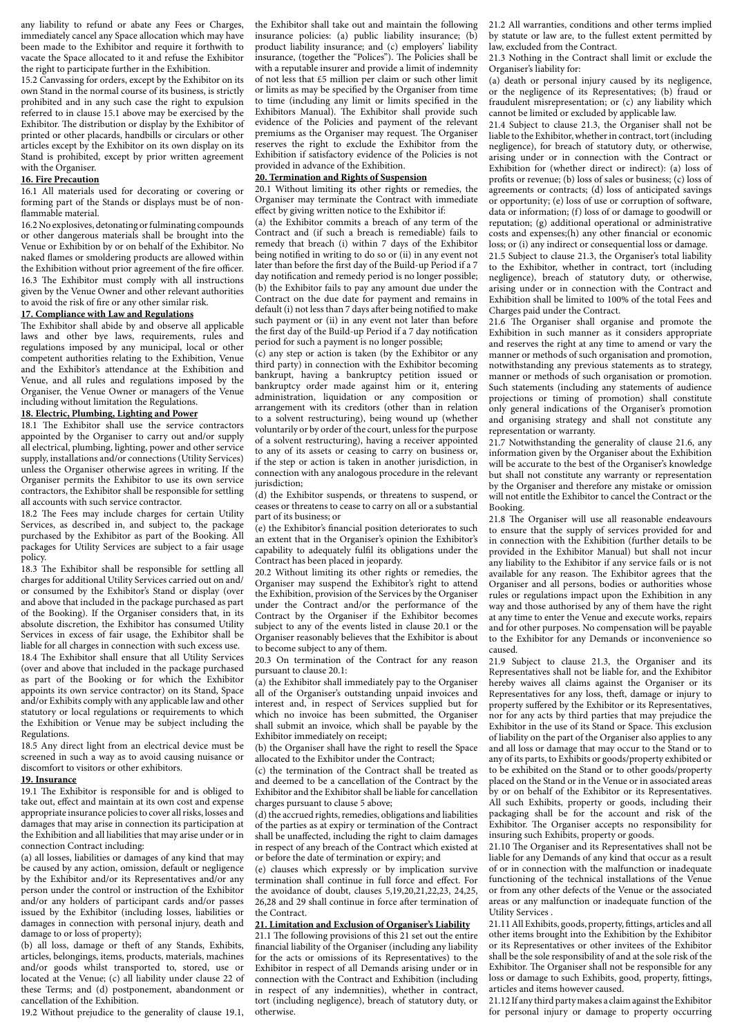any liability to refund or abate any Fees or Charges, immediately cancel any Space allocation which may have been made to the Exhibitor and require it forthwith to vacate the Space allocated to it and refuse the Exhibitor the right to participate further in the Exhibition.

15.2 Canvassing for orders, except by the Exhibitor on its own Stand in the normal course of its business, is strictly prohibited and in any such case the right to expulsion referred to in clause 15.1 above may be exercised by the Exhibitor. The distribution or display by the Exhibitor of printed or other placards, handbills or circulars or other articles except by the Exhibitor on its own display on its Stand is prohibited, except by prior written agreement with the Organiser.

### **16. Fire Precaution**

16.1 All materials used for decorating or covering or forming part of the Stands or displays must be of nonflammable material.

16.2 No explosives, detonating or fulminating compounds or other dangerous materials shall be brought into the Venue or Exhibition by or on behalf of the Exhibitor. No naked flames or smoldering products are allowed within the Exhibition without prior agreement of the fire officer. 16.3 The Exhibitor must comply with all instructions given by the Venue Owner and other relevant authorities to avoid the risk of fire or any other similar risk.

## **17. Compliance with Law and Regulations**

The Exhibitor shall abide by and observe all applicable laws and other bye laws, requirements, rules and regulations imposed by any municipal, local or other competent authorities relating to the Exhibition, Venue and the Exhibitor's attendance at the Exhibition and Venue, and all rules and regulations imposed by the Organiser, the Venue Owner or managers of the Venue including without limitation the Regulations.

## **18. Electric, Plumbing, Lighting and Power**

18.1 The Exhibitor shall use the service contractors appointed by the Organiser to carry out and/or supply all electrical, plumbing, lighting, power and other service supply, installations and/or connections (Utility Services) unless the Organiser otherwise agrees in writing. If the Organiser permits the Exhibitor to use its own service contractors, the Exhibitor shall be responsible for settling all accounts with such service contractor.

18.2 The Fees may include charges for certain Utility Services, as described in, and subject to, the package purchased by the Exhibitor as part of the Booking. All packages for Utility Services are subject to a fair usage policy.

18.3 The Exhibitor shall be responsible for settling all charges for additional Utility Services carried out on and/ or consumed by the Exhibitor's Stand or display (over and above that included in the package purchased as part of the Booking). If the Organiser considers that, in its absolute discretion, the Exhibitor has consumed Utility Services in excess of fair usage, the Exhibitor shall be liable for all charges in connection with such excess use. 18.4 The Exhibitor shall ensure that all Utility Services (over and above that included in the package purchased as part of the Booking or for which the Exhibitor appoints its own service contractor) on its Stand, Space and/or Exhibits comply with any applicable law and other statutory or local regulations or requirements to which the Exhibition or Venue may be subject including the Regulations.

18.5 Any direct light from an electrical device must be screened in such a way as to avoid causing nuisance or discomfort to visitors or other exhibitors.

#### **19. Insurance**

19.1 The Exhibitor is responsible for and is obliged to take out, effect and maintain at its own cost and expense appropriate insurance policies to cover all risks, losses and damages that may arise in connection its participation at the Exhibition and all liabilities that may arise under or in connection Contract including:

(a) all losses, liabilities or damages of any kind that may be caused by any action, omission, default or negligence by the Exhibitor and/or its Representatives and/or any person under the control or instruction of the Exhibitor and/or any holders of participant cards and/or passes issued by the Exhibitor (including losses, liabilities or damages in connection with personal injury, death and damage to or loss of property);

(b) all loss, damage or theft of any Stands, Exhibits, articles, belongings, items, products, materials, machines and/or goods whilst transported to, stored, use or located at the Venue; (c) all liability under clause 22 of these Terms; and (d) postponement, abandonment or cancellation of the Exhibition.

19.2 Without prejudice to the generality of clause 19.1,

the Exhibitor shall take out and maintain the following insurance policies: (a) public liability insurance; (b) product liability insurance; and (c) employers' liability insurance, (together the "Polices"). The Policies shall be with a reputable insurer and provide a limit of indemnity of not less that £5 million per claim or such other limit or limits as may be specified by the Organiser from time to time (including any limit or limits specified in the Exhibitors Manual). The Exhibitor shall provide such evidence of the Policies and payment of the relevant premiums as the Organiser may request. The Organiser reserves the right to exclude the Exhibitor from the Exhibition if satisfactory evidence of the Policies is not provided in advance of the Exhibition.

### **20. Termination and Rights of Suspension**

20.1 Without limiting its other rights or remedies, the Organiser may terminate the Contract with immediate effect by giving written notice to the Exhibitor if:

(a) the Exhibitor commits a breach of any term of the Contract and (if such a breach is remediable) fails to remedy that breach (i) within 7 days of the Exhibitor being notified in writing to do so or (ii) in any event not later than before the first day of the Build-up Period if a 7 day notification and remedy period is no longer possible; (b) the Exhibitor fails to pay any amount due under the Contract on the due date for payment and remains in default (i) not less than 7 days after being notified to make such payment or (ii) in any event not later than before the first day of the Build-up Period if a 7 day notification period for such a payment is no longer possible;

(c) any step or action is taken (by the Exhibitor or any third party) in connection with the Exhibitor becoming bankrupt, having a bankruptcy petition issued or bankruptcy order made against him or it, entering administration, liquidation or any composition or arrangement with its creditors (other than in relation to a solvent restructuring), being wound up (whether voluntarily or by order of the court, unless for the purpose of a solvent restructuring), having a receiver appointed to any of its assets or ceasing to carry on business or, if the step or action is taken in another jurisdiction, in connection with any analogous procedure in the relevant jurisdiction;

(d) the Exhibitor suspends, or threatens to suspend, or ceases or threatens to cease to carry on all or a substantial part of its business; or

(e) the Exhibitor's financial position deteriorates to such an extent that in the Organiser's opinion the Exhibitor's capability to adequately fulfil its obligations under the Contract has been placed in jeopardy.

20.2 Without limiting its other rights or remedies, the Organiser may suspend the Exhibitor's right to attend the Exhibition, provision of the Services by the Organiser under the Contract and/or the performance of the Contract by the Organiser if the Exhibitor becomes subject to any of the events listed in clause 20.1 or the Organiser reasonably believes that the Exhibitor is about to become subject to any of them.

20.3 On termination of the Contract for any reason pursuant to clause 20.1:

(a) the Exhibitor shall immediately pay to the Organiser all of the Organiser's outstanding unpaid invoices and interest and, in respect of Services supplied but for which no invoice has been submitted, the Organiser shall submit an invoice, which shall be payable by the Exhibitor immediately on receipt;

(b) the Organiser shall have the right to resell the Space allocated to the Exhibitor under the Contract;

(c) the termination of the Contract shall be treated as and deemed to be a cancellation of the Contract by the Exhibitor and the Exhibitor shall be liable for cancellation charges pursuant to clause 5 above;

(d) the accrued rights, remedies, obligations and liabilities of the parties as at expiry or termination of the Contract shall be unaffected, including the right to claim damages in respect of any breach of the Contract which existed at or before the date of termination or expiry; and

(e) clauses which expressly or by implication survive termination shall continue in full force and effect. For the avoidance of doubt, clauses 5,19,20,21,22,23, 24,25, 26,28 and 29 shall continue in force after termination of the Contract.

#### **21. Limitation and Exclusion of Organiser's Liability**

21.1 The following provisions of this 21 set out the entire financial liability of the Organiser (including any liability for the acts or omissions of its Representatives) to the Exhibitor in respect of all Demands arising under or in connection with the Contract and Exhibition (including in respect of any indemnities), whether in contract, tort (including negligence), breach of statutory duty, or otherwise.

21.2 All warranties, conditions and other terms implied by statute or law are, to the fullest extent permitted by law, excluded from the Contract.

21.3 Nothing in the Contract shall limit or exclude the Organiser's liability for:

(a) death or personal injury caused by its negligence, or the negligence of its Representatives; (b) fraud or fraudulent misrepresentation; or (c) any liability which cannot be limited or excluded by applicable law.

21.4 Subject to clause 21.3, the Organiser shall not be liable to the Exhibitor, whether in contract, tort (including negligence), for breach of statutory duty, or otherwise, arising under or in connection with the Contract or Exhibition for (whether direct or indirect): (a) loss of profits or revenue; (b) loss of sales or business; (c) loss of agreements or contracts; (d) loss of anticipated savings or opportunity; (e) loss of use or corruption of software, data or information; (f) loss of or damage to goodwill or reputation; (g) additional operational or administrative costs and expenses;(h) any other financial or economic loss; or (i) any indirect or consequential loss or damage.

21.5 Subject to clause 21.3, the Organiser's total liability to the Exhibitor, whether in contract, tort (including negligence), breach of statutory duty, or otherwise, arising under or in connection with the Contract and Exhibition shall be limited to 100% of the total Fees and Charges paid under the Contract.

21.6 The Organiser shall organise and promote the Exhibition in such manner as it considers appropriate and reserves the right at any time to amend or vary the manner or methods of such organisation and promotion, notwithstanding any previous statements as to strategy, manner or methods of such organisation or promotion. Such statements (including any statements of audience projections or timing of promotion) shall constitute only general indications of the Organiser's promotion and organising strategy and shall not constitute any representation or warranty.

21.7 Notwithstanding the generality of clause 21.6, any information given by the Organiser about the Exhibition will be accurate to the best of the Organiser's knowledge but shall not constitute any warranty or representation by the Organiser and therefore any mistake or omission will not entitle the Exhibitor to cancel the Contract or the Booking.

21.8 The Organiser will use all reasonable endeavours to ensure that the supply of services provided for and in connection with the Exhibition (further details to be provided in the Exhibitor Manual) but shall not incur any liability to the Exhibitor if any service fails or is not available for any reason. The Exhibitor agrees that the Organiser and all persons, bodies or authorities whose rules or regulations impact upon the Exhibition in any way and those authorised by any of them have the right at any time to enter the Venue and execute works, repairs and for other purposes. No compensation will be payable to the Exhibitor for any Demands or inconvenience so caused.

21.9 Subject to clause 21.3, the Organiser and its Representatives shall not be liable for, and the Exhibitor hereby waives all claims against the Organiser or its Representatives for any loss, theft, damage or injury to property suffered by the Exhibitor or its Representatives, nor for any acts by third parties that may prejudice the Exhibitor in the use of its Stand or Space. This exclusion of liability on the part of the Organiser also applies to any and all loss or damage that may occur to the Stand or to any of its parts, to Exhibits or goods/property exhibited or to be exhibited on the Stand or to other goods/property placed on the Stand or in the Venue or in associated areas by or on behalf of the Exhibitor or its Representatives. All such Exhibits, property or goods, including their packaging shall be for the account and risk of the Exhibitor. The Organiser accepts no responsibility for insuring such Exhibits, property or goods.

21.10 The Organiser and its Representatives shall not be liable for any Demands of any kind that occur as a result of or in connection with the malfunction or inadequate functioning of the technical installations of the Venue or from any other defects of the Venue or the associated areas or any malfunction or inadequate function of the Utility Services .

21.11 All Exhibits, goods, property, fittings, articles and all other items brought into the Exhibition by the Exhibitor or its Representatives or other invitees of the Exhibitor shall be the sole responsibility of and at the sole risk of the Exhibitor. The Organiser shall not be responsible for any loss or damage to such Exhibits, good, property, fittings, articles and items however caused.

21.12 If any third party makes a claim against the Exhibitor for personal injury or damage to property occurring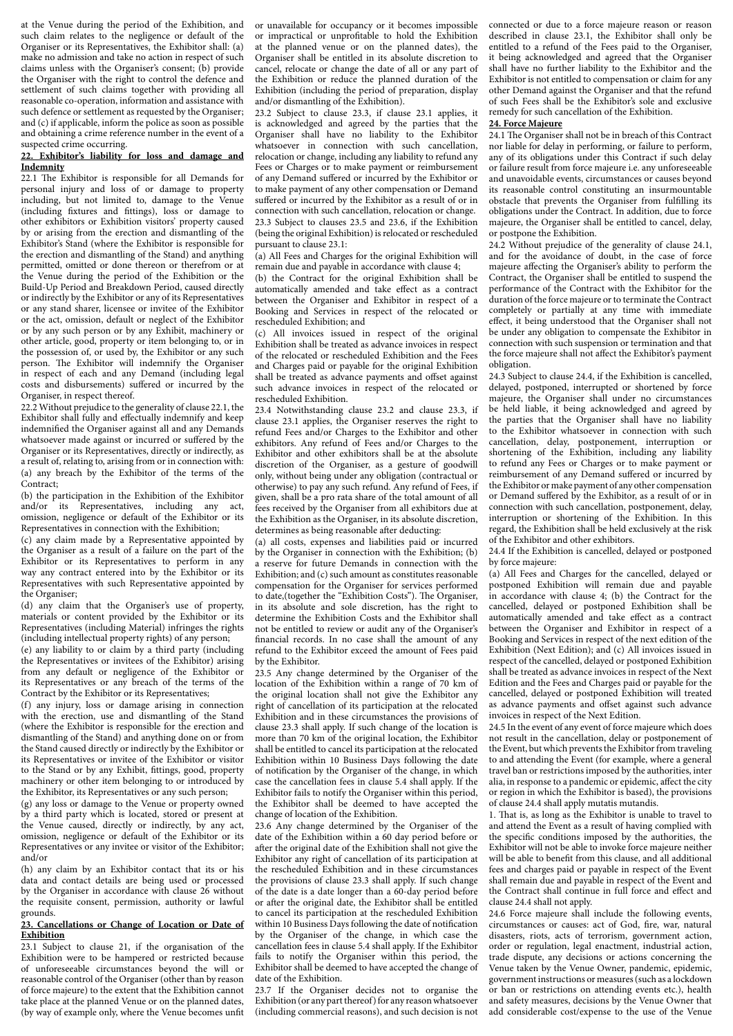at the Venue during the period of the Exhibition, and such claim relates to the negligence or default of the Organiser or its Representatives, the Exhibitor shall: (a) make no admission and take no action in respect of such claims unless with the Organiser's consent; (b) provide the Organiser with the right to control the defence and settlement of such claims together with providing all reasonable co-operation, information and assistance with such defence or settlement as requested by the Organiser; and (c) if applicable, inform the police as soon as possible and obtaining a crime reference number in the event of a suspected crime occurring.

# **22. Exhibitor's liability for loss and damage and Indemnity**

22.1 The Exhibitor is responsible for all Demands for personal injury and loss of or damage to property including, but not limited to, damage to the Venue (including fixtures and fittings), loss or damage to other exhibitors or Exhibition visitors' property caused by or arising from the erection and dismantling of the Exhibitor's Stand (where the Exhibitor is responsible for the erection and dismantling of the Stand) and anything permitted, omitted or done thereon or therefrom or at the Venue during the period of the Exhibition or the Build-Up Period and Breakdown Period, caused directly or indirectly by the Exhibitor or any of its Representatives or any stand sharer, licensee or invitee of the Exhibitor or the act, omission, default or neglect of the Exhibitor or by any such person or by any Exhibit, machinery or other article, good, property or item belonging to, or in the possession of, or used by, the Exhibitor or any such person. The Exhibitor will indemnify the Organiser in respect of each and any Demand (including legal costs and disbursements) suffered or incurred by the Organiser, in respect thereof.

22.2 Without prejudice to the generality of clause 22.1, the Exhibitor shall fully and effectually indemnify and keep indemnified the Organiser against all and any Demands whatsoever made against or incurred or suffered by the Organiser or its Representatives, directly or indirectly, as a result of, relating to, arising from or in connection with: (a) any breach by the Exhibitor of the terms of the Contract;

(b) the participation in the Exhibition of the Exhibitor and/or its Representatives, including any act, omission, negligence or default of the Exhibitor or its Representatives in connection with the Exhibition;

(c) any claim made by a Representative appointed by the Organiser as a result of a failure on the part of the Exhibitor or its Representatives to perform in any way any contract entered into by the Exhibitor or its Representatives with such Representative appointed by the Organiser;

(d) any claim that the Organiser's use of property, materials or content provided by the Exhibitor or its Representatives (including Material) infringes the rights (including intellectual property rights) of any person;

(e) any liability to or claim by a third party (including the Representatives or invitees of the Exhibitor) arising from any default or negligence of the Exhibitor or its Representatives or any breach of the terms of the Contract by the Exhibitor or its Representatives;

(f) any injury, loss or damage arising in connection with the erection, use and dismantling of the Stand (where the Exhibitor is responsible for the erection and dismantling of the Stand) and anything done on or from the Stand caused directly or indirectly by the Exhibitor or its Representatives or invitee of the Exhibitor or visitor to the Stand or by any Exhibit, fittings, good, property machinery or other item belonging to or introduced by the Exhibitor, its Representatives or any such person;

(g) any loss or damage to the Venue or property owned by a third party which is located, stored or present at the Venue caused, directly or indirectly, by any act, omission, negligence or default of the Exhibitor or its Representatives or any invitee or visitor of the Exhibitor; and/or

(h) any claim by an Exhibitor contact that its or his data and contact details are being used or processed by the Organiser in accordance with clause 26 without the requisite consent, permission, authority or lawful grounds.

### **23. Cancellations or Change of Location or Date of Exhibition**

23.1 Subject to clause 21, if the organisation of the Exhibition were to be hampered or restricted because of unforeseeable circumstances beyond the will or reasonable control of the Organiser (other than by reason of force majeure) to the extent that the Exhibition cannot take place at the planned Venue or on the planned dates, (by way of example only, where the Venue becomes unfit or unavailable for occupancy or it becomes impossible or impractical or unprofitable to hold the Exhibition at the planned venue or on the planned dates), the Organiser shall be entitled in its absolute discretion to cancel, relocate or change the date of all or any part of the Exhibition or reduce the planned duration of the Exhibition (including the period of preparation, display and/or dismantling of the Exhibition).

23.2 Subject to clause 23.3, if clause 23.1 applies, it is acknowledged and agreed by the parties that the Organiser shall have no liability to the Exhibitor whatsoever in connection with such cancellation, relocation or change, including any liability to refund any Fees or Charges or to make payment or reimbursement of any Demand suffered or incurred by the Exhibitor or to make payment of any other compensation or Demand suffered or incurred by the Exhibitor as a result of or in connection with such cancellation, relocation or change. 23.3 Subject to clauses 23.5 and 23.6, if the Exhibition (being the original Exhibition) is relocated or rescheduled pursuant to clause 23.1:

(a) All Fees and Charges for the original Exhibition will remain due and payable in accordance with clause 4;

(b) the Contract for the original Exhibition shall be automatically amended and take effect as a contract between the Organiser and Exhibitor in respect of a Booking and Services in respect of the relocated or rescheduled Exhibition; and

(c) All invoices issued in respect of the original Exhibition shall be treated as advance invoices in respect of the relocated or rescheduled Exhibition and the Fees and Charges paid or payable for the original Exhibition shall be treated as advance payments and offset against such advance invoices in respect of the relocated or rescheduled Exhibition.

23.4 Notwithstanding clause 23.2 and clause 23.3, if clause 23.1 applies, the Organiser reserves the right to refund Fees and/or Charges to the Exhibitor and other exhibitors. Any refund of Fees and/or Charges to the Exhibitor and other exhibitors shall be at the absolute discretion of the Organiser, as a gesture of goodwill only, without being under any obligation (contractual or otherwise) to pay any such refund. Any refund of Fees, if given, shall be a pro rata share of the total amount of all fees received by the Organiser from all exhibitors due at the Exhibition as the Organiser, in its absolute discretion, determines as being reasonable after deducting:

(a) all costs, expenses and liabilities paid or incurred by the Organiser in connection with the Exhibition; (b) a reserve for future Demands in connection with the Exhibition; and (c) such amount as constitutes reasonable compensation for the Organiser for services performed to date,(together the "Exhibition Costs"). The Organiser, in its absolute and sole discretion, has the right to determine the Exhibition Costs and the Exhibitor shall not be entitled to review or audit any of the Organiser's financial records. In no case shall the amount of any refund to the Exhibitor exceed the amount of Fees paid by the Exhibitor.

23.5 Any change determined by the Organiser of the location of the Exhibition within a range of 70 km of the original location shall not give the Exhibitor any right of cancellation of its participation at the relocated Exhibition and in these circumstances the provisions of clause 23.3 shall apply. If such change of the location is more than 70 km of the original location, the Exhibitor shall be entitled to cancel its participation at the relocated Exhibition within 10 Business Days following the date of notification by the Organiser of the change, in which case the cancellation fees in clause 5.4 shall apply. If the Exhibitor fails to notify the Organiser within this period, the Exhibitor shall be deemed to have accepted the change of location of the Exhibition.

23.6 Any change determined by the Organiser of the date of the Exhibition within a 60 day period before or after the original date of the Exhibition shall not give the Exhibitor any right of cancellation of its participation at the rescheduled Exhibition and in these circumstances the provisions of clause 23.3 shall apply. If such change of the date is a date longer than a 60-day period before or after the original date, the Exhibitor shall be entitled to cancel its participation at the rescheduled Exhibition within 10 Business Days following the date of notification by the Organiser of the change, in which case the cancellation fees in clause 5.4 shall apply. If the Exhibitor fails to notify the Organiser within this period, the Exhibitor shall be deemed to have accepted the change of date of the Exhibition.

23.7 If the Organiser decides not to organise the Exhibition (or any part thereof) for any reason whatsoever (including commercial reasons), and such decision is not connected or due to a force majeure reason or reason described in clause 23.1, the Exhibitor shall only be entitled to a refund of the Fees paid to the Organiser, it being acknowledged and agreed that the Organiser shall have no further liability to the Exhibitor and the Exhibitor is not entitled to compensation or claim for any other Demand against the Organiser and that the refund of such Fees shall be the Exhibitor's sole and exclusive remedy for such cancellation of the Exhibition.

### **24. Force Majeure**

24.1 The Organiser shall not be in breach of this Contract nor liable for delay in performing, or failure to perform, any of its obligations under this Contract if such delay or failure result from force majeure i.e. any unforeseeable and unavoidable events, circumstances or causes beyond its reasonable control constituting an insurmountable obstacle that prevents the Organiser from fulfilling its obligations under the Contract. In addition, due to force majeure, the Organiser shall be entitled to cancel, delay, or postpone the Exhibition.

24.2 Without prejudice of the generality of clause 24.1, and for the avoidance of doubt, in the case of force majeure affecting the Organiser's ability to perform the Contract, the Organiser shall be entitled to suspend the performance of the Contract with the Exhibitor for the duration of the force majeure or to terminate the Contract completely or partially at any time with immediate effect, it being understood that the Organiser shall not be under any obligation to compensate the Exhibitor in connection with such suspension or termination and that the force majeure shall not affect the Exhibitor's payment obligation.

24.3 Subject to clause 24.4, if the Exhibition is cancelled, delayed, postponed, interrupted or shortened by force majeure, the Organiser shall under no circumstances be held liable, it being acknowledged and agreed by the parties that the Organiser shall have no liability to the Exhibitor whatsoever in connection with such cancellation, delay, postponement, interruption or shortening of the Exhibition, including any liability to refund any Fees or Charges or to make payment or reimbursement of any Demand suffered or incurred by the Exhibitor or make payment of any other compensation or Demand suffered by the Exhibitor, as a result of or in connection with such cancellation, postponement, delay, interruption or shortening of the Exhibition. In this regard, the Exhibition shall be held exclusively at the risk of the Exhibitor and other exhibitors.

24.4 If the Exhibition is cancelled, delayed or postponed by force majeure:

(a) All Fees and Charges for the cancelled, delayed or postponed Exhibition will remain due and payable in accordance with clause 4; (b) the Contract for the cancelled, delayed or postponed Exhibition shall be automatically amended and take effect as a contract between the Organiser and Exhibitor in respect of a Booking and Services in respect of the next edition of the Exhibition (Next Edition); and (c) All invoices issued in respect of the cancelled, delayed or postponed Exhibition shall be treated as advance invoices in respect of the Next Edition and the Fees and Charges paid or payable for the cancelled, delayed or postponed Exhibition will treated as advance payments and offset against such advance invoices in respect of the Next Edition.

24.5 In the event of any event of force majeure which does not result in the cancellation, delay or postponement of the Event, but which prevents the Exhibitor from traveling to and attending the Event (for example, where a general travel ban or restrictions imposed by the authorities, inter alia, in response to a pandemic or epidemic, affect the city or region in which the Exhibitor is based), the provisions of clause 24.4 shall apply mutatis mutandis.

1. That is, as long as the Exhibitor is unable to travel to and attend the Event as a result of having complied with the specific conditions imposed by the authorities, the Exhibitor will not be able to invoke force majeure neither will be able to benefit from this clause, and all additional fees and charges paid or payable in respect of the Event shall remain due and payable in respect of the Event and the Contract shall continue in full force and effect and clause 24.4 shall not apply.

24.6 Force majeure shall include the following events, circumstances or causes: act of God, fire, war, natural disasters, riots, acts of terrorism, government action, order or regulation, legal enactment, industrial action, trade dispute, any decisions or actions concerning the Venue taken by the Venue Owner, pandemic, epidemic, government instructions or measures (such as a lockdown or ban or restrictions on attending events etc.), health and safety measures, decisions by the Venue Owner that add considerable cost/expense to the use of the Venue